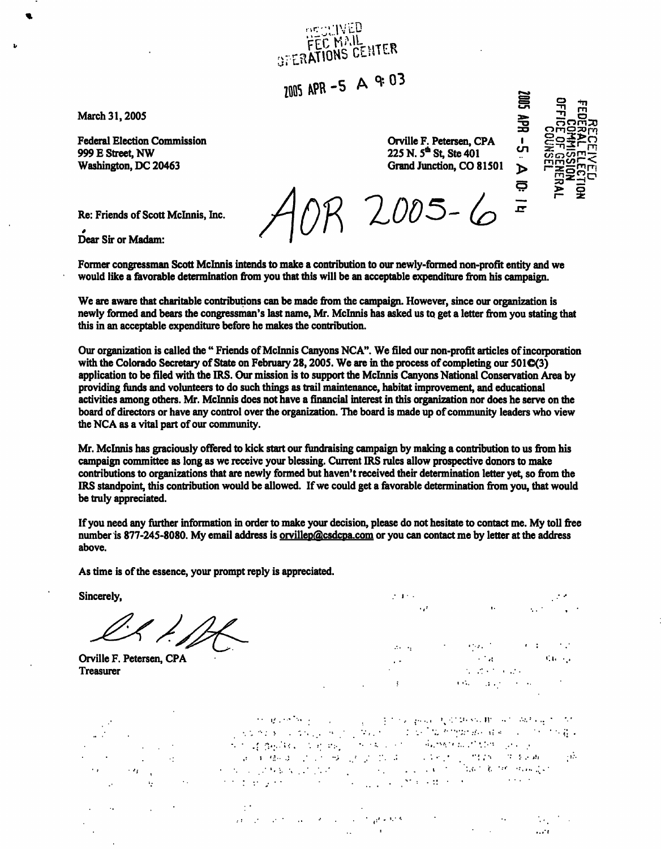**March 31, 2005** 

**Federal Election Commission 999 E Street, NW Washington, DC 20463** 

**Orville F. Petersen, CPA 225N.5\*St,Ste401 Grand Junction, CO 81501** 

*loos - &>* 

**IS BR**<br>**IS BR**<br>**IS BR mnwC <sup>s</sup> > o** 

**en** 

 $\blacktriangleright$ ౚ

員

**Re: Friends of Scott Mclnnis, Inc.** 

*\**  **Dear Sir or Madam:** 

**Former congressman Scott Mclnnis intends to make a contribution to our newly-formed non-profit entity and we would like a favorable determination from you that this will be an acceptable expenditure from his campaign.** 

**FEC MAIL**<br>FEC MAIL<br>GERATIONS CENTER

 $7005$  APR -5 A <sup>9: 03</sup>

**We are aware that charitable contributions can be made from the campaign. However, since our organization is newly formed and bears the congressman's last name, Mr. Mclnnis has asked us to get a letter from you stating that this in an acceptable expenditure before he makes the contribution.** 

**Our organization is called the " Friends of Mclnnis Canyons NCA". We filed our non-profit articles of incorporation**  with the Colorado Secretary of State on February 28, 2005. We are in the process of completing our 501**C**(3) **application to be filed with the IRS. Our mission is to support the Mclnnis Canyons National Conservation Area by providing funds and volunteers to do such things as trail maintenance, habitat improvement, and educational activities among others. Mr. Mclnnis does not have a financial interest in this organization nor does he serve on the board of directors or have any control over the organization. The board is made up of community leaders who view the NCA as a vital part of our community.** 

**Mr. Mclnnis has graciously offered to kick start our fundraising campaign by making a contribution to us from his campaign committee as long as we receive your blessing. Current IRS rules allow prospective donors to make contributions to organizations that are newly formed but haven't received their determination letter yet, so from the IRS standpoint, this contribution would be allowed. If we could get a favorable determination from you, that would be truly appreciated.** 

**If you need any further information in order to make your decision, please do not hesitate to contact me. My toll free number is 877-245-8080. My email address is [orvillep@csdcpa.com](mailto:orvillep@csdcpa.com) or you can contact me by letter at the address above.** 

**As time is of the essence, your prompt reply is appreciated.** 

**Sincerely, and the state of the state of the state of the state of the state of the state of the state of the state of the state of the state of the state of the state of the state of the state of the state of the state o** 

**Treasurer** 

 $\mathcal{O}(\log n)^{1/2}$  $\mathcal{L}_{\rm{max}}$  . **Orville F. Petersen, CPA •-\*s <:i. •..**   $\mathbf{C}(\mathbf{G}_k)$  , and  $\mathbf{C}(\mathbf{G}_k)$  , where  $\mathbf{G}_k$ 

 $\label{eq:2.1} \begin{split} \mathcal{D}_{\mathcal{M}}(\mathbf{g},\mathbf{g},\mathbf{g},\mathbf{g})&=\mathcal{D}_{\mathcal{M}}(\mathbf{g},\mathbf{g},\mathbf{g})=\mathcal{D}_{\mathcal{M}}(\mathbf{g},\mathbf{g},\mathbf{g},\mathbf{g})\mathcal{D}_{\mathcal{M}}(\mathbf{g},\mathbf{g},\mathbf{g},\mathbf{g},\mathbf{g},\mathbf{g},\mathbf{g},\mathbf{g},\mathbf{g},\mathbf{g},\mathbf{g},\mathbf{g},\mathbf{g},\mathbf{g},\mathbf{g},\$ 

والمتعاقلة فالمعاون والمتعارض والمتعارض والمتعارض والمعارض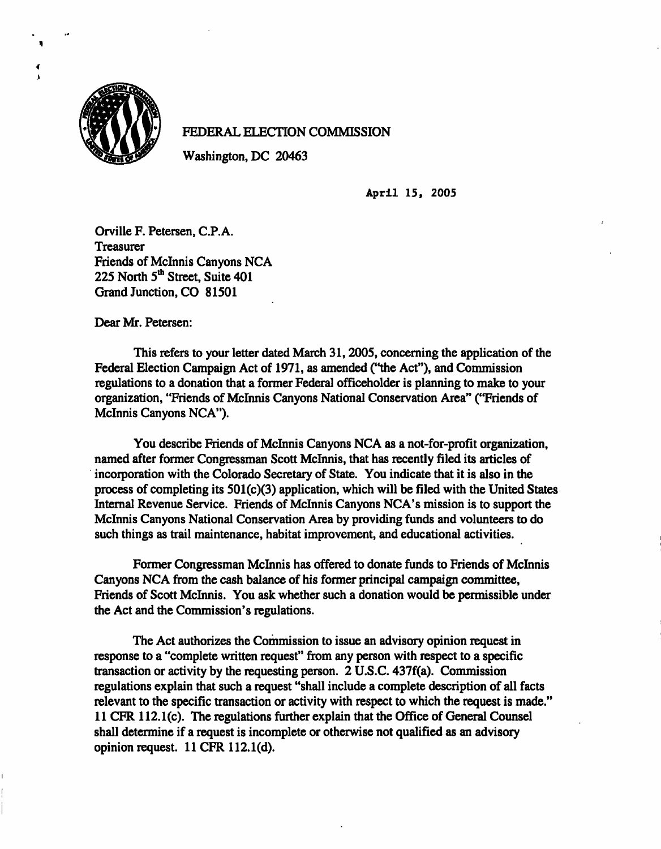

**4 i** 

## **FEDERAL ELECTION COMMISSION**

**Washington, DC 20463** 

**April 15, 2005** 

**Orville F. Petersen, C.P.A. Treasurer Friends of Mclnnis Canyons NCA 225 North 5th Street, Suite 401 Grand Junction, CO 81501** 

**Dear Mr. Petersen:** 

**This refers to your letter dated March 31, 2005, concerning the application of the Federal Election Campaign Act of 1971, as amended ("the Act"), and Commission regulations to a donation that a former Federal officeholder is planning to make to your organization, "Friends of Mclnnis Canyons National Conservation Area" ("Friends of Mclnnis Canyons NCA").** 

**You describe Friends of Mclnnis Canyons NCA as a not-for-profit organization, named after former Congressman Scott Mclnnis, that has recently filed its articles of incorporation with the Colorado Secretary of State. You indicate that it is also in the process of completing its 501(c)(3) application, which will be filed with the United States Internal Revenue Service. Friends of Mclnnis Canyons NCA's mission is to support the Mclnnis Canyons National Conservation Area by providing funds and volunteers to do such things as trail maintenance, habitat improvement, and educational activities.** 

**Former Congressman Mclnnis has offered to donate funds to Friends of Mclnnis Canyons NCA from the cash balance of his former principal campaign committee, Friends of Scott Mclnnis. You ask whether such a donation would be permissible under the Act and the Commission's regulations.** 

**The Act authorizes the Commission to issue an advisory opinion request in response to a "complete written request" from any person with respect to a specific transaction or activity by the requesting person. 2 U.S.C. 437f(a). Commission regulations explain that such a request "shall include a complete description of all facts relevant to the specific transaction or activity with respect to which the request is made." 11 CFR 112.1(c). The regulations further explain that the Office of General Counsel shall determine if a request is incomplete or otherwise not qualified as an advisory opinion request. 11 CFR 112.1(d).**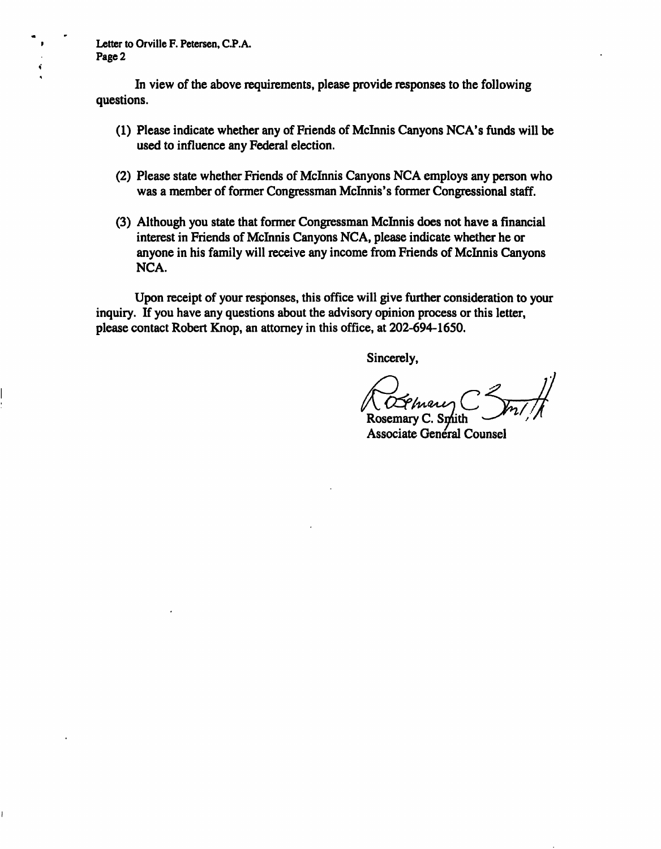**Letter to Orville F. Petersen, C.P.A. Page 2** 

**In view of the above requirements, please provide responses to the following questions.** 

- **(1) Please indicate whether any of Friends of Mclnnis Canyons NCA's funds will be used to influence any Federal election.**
- **(2) Please state whether Friends of Mclnnis Canyons NCA employs any person who was a member of former Congressman Mclnnis's former Congressional staff.**
- **(3) Although you state that former Congressman Mclnnis does not have a financial interest in Friends of Mclnnis Canyons NCA, please indicate whether he or anyone in his family will receive any income from Friends of Mclnnis Canyons NCA.**

**Upon receipt of your responses, this office will give further consideration to your inquiry. If you have any questions about the advisory opinion process or this letter, please contact Robert Knop, an attorney in this office, at 202-694-1650.** 

**Sincerely,** 

**Rosemary** C. Sm **Associate Genéral Counsel**